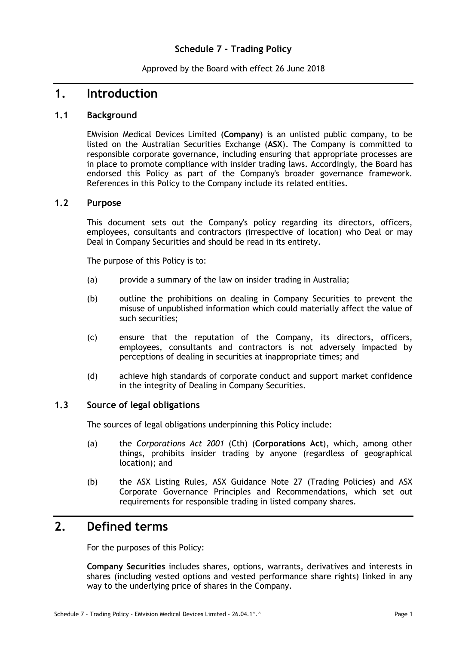### **Schedule 7 - Trading Policy**

Approved by the Board with effect 26 June 2018

### **1. Introduction**

#### **1.1 Background**

EMvision Medical Devices Limited (**Company**) is an unlisted public company, to be listed on the Australian Securities Exchange (**ASX**). The Company is committed to responsible corporate governance, including ensuring that appropriate processes are in place to promote compliance with insider trading laws. Accordingly, the Board has endorsed this Policy as part of the Company's broader governance framework. References in this Policy to the Company include its related entities.

#### **1.2 Purpose**

This document sets out the Company's policy regarding its directors, officers, employees, consultants and contractors (irrespective of location) who Deal or may Deal in Company Securities and should be read in its entirety.

The purpose of this Policy is to:

- (a) provide a summary of the law on insider trading in Australia;
- (b) outline the prohibitions on dealing in Company Securities to prevent the misuse of unpublished information which could materially affect the value of such securities;
- (c) ensure that the reputation of the Company, its directors, officers, employees, consultants and contractors is not adversely impacted by perceptions of dealing in securities at inappropriate times; and
- (d) achieve high standards of corporate conduct and support market confidence in the integrity of Dealing in Company Securities.

#### **1.3 Source of legal obligations**

The sources of legal obligations underpinning this Policy include:

- (a) the *Corporations Act 2001* (Cth) (**Corporations Act**), which, among other things, prohibits insider trading by anyone (regardless of geographical location); and
- (b) the ASX Listing Rules, ASX Guidance Note 27 (Trading Policies) and ASX Corporate Governance Principles and Recommendations, which set out requirements for responsible trading in listed company shares.

## **2. Defined terms**

For the purposes of this Policy:

**Company Securities** includes shares, options, warrants, derivatives and interests in shares (including vested options and vested performance share rights) linked in any way to the underlying price of shares in the Company.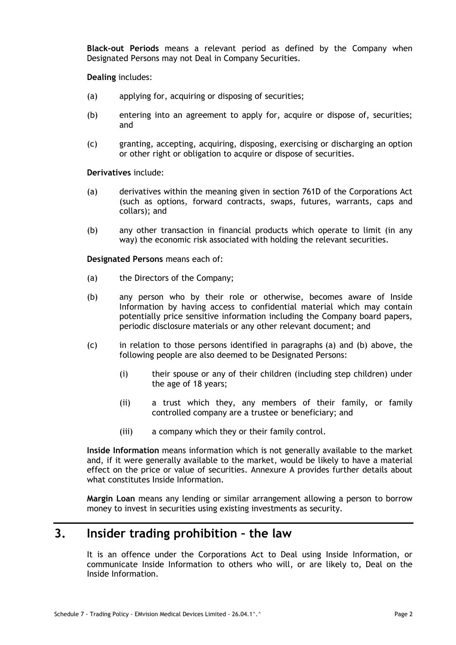**Black-out Periods** means a relevant period as defined by the Company when Designated Persons may not Deal in Company Securities.

**Dealing** includes:

- (a) applying for, acquiring or disposing of securities;
- (b) entering into an agreement to apply for, acquire or dispose of, securities; and
- (c) granting, accepting, acquiring, disposing, exercising or discharging an option or other right or obligation to acquire or dispose of securities.

**Derivatives** include:

- (a) derivatives within the meaning given in section 761D of the Corporations Act (such as options, forward contracts, swaps, futures, warrants, caps and collars); and
- (b) any other transaction in financial products which operate to limit (in any way) the economic risk associated with holding the relevant securities.

<span id="page-1-0"></span>**Designated Persons** means each of:

- <span id="page-1-1"></span>(a) the Directors of the Company;
- (b) any person who by their role or otherwise, becomes aware of Inside Information by having access to confidential material which may contain potentially price sensitive information including the Company board papers, periodic disclosure materials or any other relevant document; and
- (c) in relation to those persons identified in paragraphs [\(a\)](#page-1-0) and [\(b\)](#page-1-1) above, the following people are also deemed to be Designated Persons:
	- (i) their spouse or any of their children (including step children) under the age of 18 years;
	- (ii) a trust which they, any members of their family, or family controlled company are a trustee or beneficiary; and
	- (iii) a company which they or their family control.

**Inside Information** means information which is not generally available to the market and, if it were generally available to the market, would be likely to have a material effect on the price or value of securities. Annexure A provides further details about what constitutes Inside Information.

**Margin Loan** means any lending or similar arrangement allowing a person to borrow money to invest in securities using existing investments as security.

## **3. Insider trading prohibition – the law**

It is an offence under the Corporations Act to Deal using Inside Information, or communicate Inside Information to others who will, or are likely to, Deal on the Inside Information.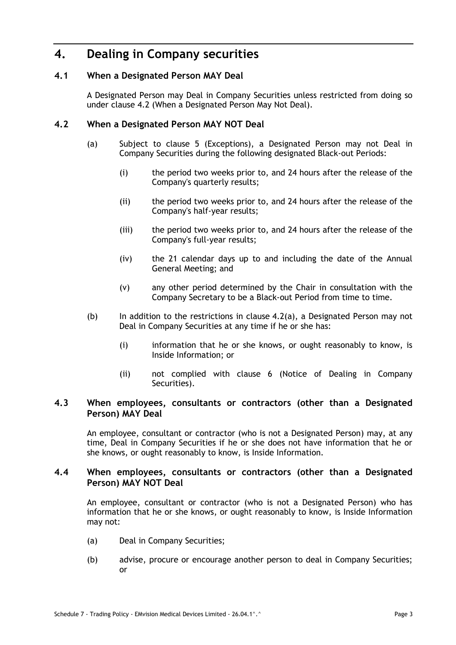## **4. Dealing in Company securities**

#### **4.1 When a Designated Person MAY Deal**

A Designated Person may Deal in Company Securities unless restricted from doing so under clause [4.2](#page-2-0) (When a Designated Person May Not Deal).

#### <span id="page-2-1"></span><span id="page-2-0"></span>**4.2 When a Designated Person MAY NOT Deal**

- (a) Subject to clause 5 (Exceptions), a Designated Person may not Deal in Company Securities during the following designated Black-out Periods:
	- (i) the period two weeks prior to, and 24 hours after the release of the Company's quarterly results;
	- (ii) the period two weeks prior to, and 24 hours after the release of the Company's half-year results;
	- (iii) the period two weeks prior to, and 24 hours after the release of the Company's full-year results;
	- (iv) the 21 calendar days up to and including the date of the Annual General Meeting; and
	- (v) any other period determined by the Chair in consultation with the Company Secretary to be a Black-out Period from time to time.
- (b) In addition to the restrictions in clause  $4.2(a)$ , a Designated Person may not Deal in Company Securities at any time if he or she has:
	- (i) information that he or she knows, or ought reasonably to know, is Inside Information; or
	- (ii) not complied with clause 6 (Notice of Dealing in Company Securities).

#### **4.3 When employees, consultants or contractors (other than a Designated Person) MAY Deal**

An employee, consultant or contractor (who is not a Designated Person) may, at any time, Deal in Company Securities if he or she does not have information that he or she knows, or ought reasonably to know, is Inside Information.

#### **4.4 When employees, consultants or contractors (other than a Designated Person) MAY NOT Deal**

An employee, consultant or contractor (who is not a Designated Person) who has information that he or she knows, or ought reasonably to know, is Inside Information may not:

- (a) Deal in Company Securities;
- (b) advise, procure or encourage another person to deal in Company Securities; or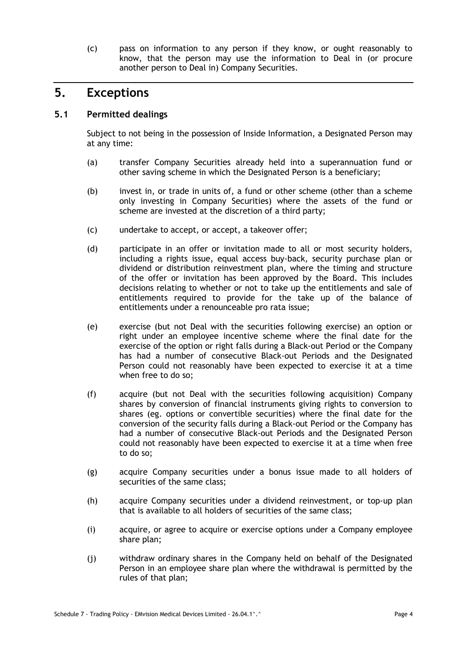(c) pass on information to any person if they know, or ought reasonably to know, that the person may use the information to Deal in (or procure another person to Deal in) Company Securities.

## **5. Exceptions**

#### **5.1 Permitted dealings**

Subject to not being in the possession of Inside Information, a Designated Person may at any time:

- (a) transfer Company Securities already held into a superannuation fund or other saving scheme in which the Designated Person is a beneficiary;
- (b) invest in, or trade in units of, a fund or other scheme (other than a scheme only investing in Company Securities) where the assets of the fund or scheme are invested at the discretion of a third party;
- (c) undertake to accept, or accept, a takeover offer;
- (d) participate in an offer or invitation made to all or most security holders, including a rights issue, equal access buy-back, security purchase plan or dividend or distribution reinvestment plan, where the timing and structure of the offer or invitation has been approved by the Board. This includes decisions relating to whether or not to take up the entitlements and sale of entitlements required to provide for the take up of the balance of entitlements under a renounceable pro rata issue;
- (e) exercise (but not Deal with the securities following exercise) an option or right under an employee incentive scheme where the final date for the exercise of the option or right falls during a Black-out Period or the Company has had a number of consecutive Black-out Periods and the Designated Person could not reasonably have been expected to exercise it at a time when free to do so;
- (f) acquire (but not Deal with the securities following acquisition) Company shares by conversion of financial instruments giving rights to conversion to shares (eg. options or convertible securities) where the final date for the conversion of the security falls during a Black-out Period or the Company has had a number of consecutive Black-out Periods and the Designated Person could not reasonably have been expected to exercise it at a time when free to do so;
- (g) acquire Company securities under a bonus issue made to all holders of securities of the same class;
- (h) acquire Company securities under a dividend reinvestment, or top-up plan that is available to all holders of securities of the same class;
- (i) acquire, or agree to acquire or exercise options under a Company employee share plan;
- (j) withdraw ordinary shares in the Company held on behalf of the Designated Person in an employee share plan where the withdrawal is permitted by the rules of that plan;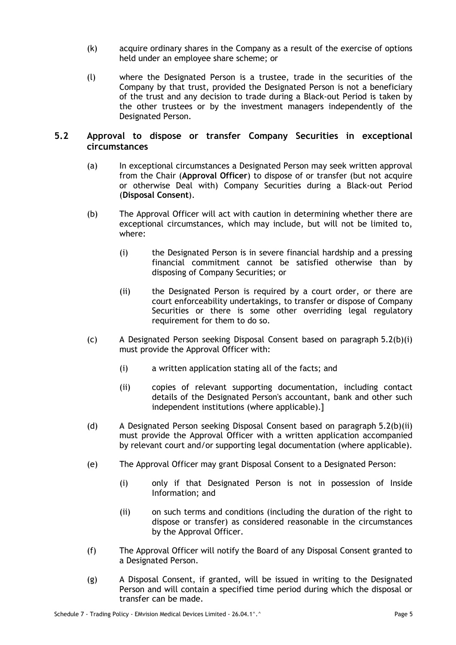- (k) acquire ordinary shares in the Company as a result of the exercise of options held under an employee share scheme; or
- (l) where the Designated Person is a trustee, trade in the securities of the Company by that trust, provided the Designated Person is not a beneficiary of the trust and any decision to trade during a Black-out Period is taken by the other trustees or by the investment managers independently of the Designated Person.

#### **5.2 Approval to dispose or transfer Company Securities in exceptional circumstances**

- (a) In exceptional circumstances a Designated Person may seek written approval from the Chair (**Approval Officer**) to dispose of or transfer (but not acquire or otherwise Deal with) Company Securities during a Black-out Period (**Disposal Consent**).
- <span id="page-4-0"></span>(b) The Approval Officer will act with caution in determining whether there are exceptional circumstances, which may include, but will not be limited to, where:
	- (i) the Designated Person is in severe financial hardship and a pressing financial commitment cannot be satisfied otherwise than by disposing of Company Securities; or
	- (ii) the Designated Person is required by a court order, or there are court enforceability undertakings, to transfer or dispose of Company Securities or there is some other overriding legal regulatory requirement for them to do so.
- <span id="page-4-1"></span>(c) A Designated Person seeking Disposal Consent based on paragraph [5.2\(b\)\(i\)](#page-4-0) must provide the Approval Officer with:
	- (i) a written application stating all of the facts; and
	- (ii) copies of relevant supporting documentation, including contact details of the Designated Person's accountant, bank and other such independent institutions (where applicable).]
- (d) A Designated Person seeking Disposal Consent based on paragraph [5.2\(b\)\(ii\)](#page-4-1) must provide the Approval Officer with a written application accompanied by relevant court and/or supporting legal documentation (where applicable).
- (e) The Approval Officer may grant Disposal Consent to a Designated Person:
	- (i) only if that Designated Person is not in possession of Inside Information; and
	- (ii) on such terms and conditions (including the duration of the right to dispose or transfer) as considered reasonable in the circumstances by the Approval Officer.
- (f) The Approval Officer will notify the Board of any Disposal Consent granted to a Designated Person.
- (g) A Disposal Consent, if granted, will be issued in writing to the Designated Person and will contain a specified time period during which the disposal or transfer can be made.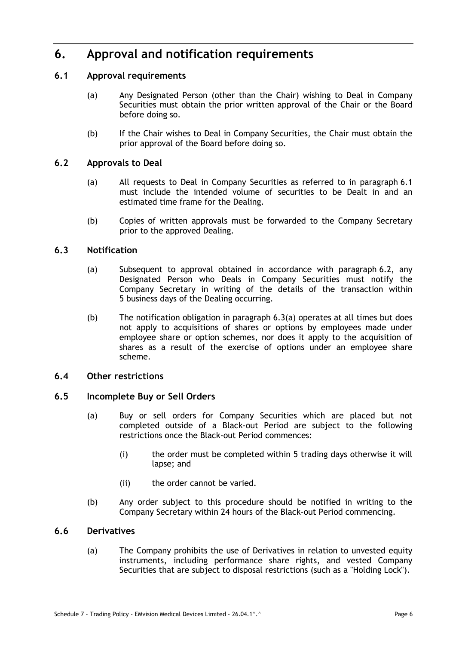# **6. Approval and notification requirements**

#### <span id="page-5-0"></span>**6.1 Approval requirements**

- (a) Any Designated Person (other than the Chair) wishing to Deal in Company Securities must obtain the prior written approval of the Chair or the Board before doing so.
- (b) If the Chair wishes to Deal in Company Securities, the Chair must obtain the prior approval of the Board before doing so.

#### <span id="page-5-1"></span>**6.2 Approvals to Deal**

- (a) All requests to Deal in Company Securities as referred to in paragraph [6.1](#page-5-0) must include the intended volume of securities to be Dealt in and an estimated time frame for the Dealing.
- (b) Copies of written approvals must be forwarded to the Company Secretary prior to the approved Dealing.

#### <span id="page-5-2"></span>**6.3 Notification**

- (a) Subsequent to approval obtained in accordance with paragraph [6.2,](#page-5-1) any Designated Person who Deals in Company Securities must notify the Company Secretary in writing of the details of the transaction within 5 business days of the Dealing occurring.
- (b) The notification obligation in paragraph [6.3\(a\)](#page-5-2) operates at all times but does not apply to acquisitions of shares or options by employees made under employee share or option schemes, nor does it apply to the acquisition of shares as a result of the exercise of options under an employee share scheme.

#### **6.4 Other restrictions**

#### **6.5 Incomplete Buy or Sell Orders**

- (a) Buy or sell orders for Company Securities which are placed but not completed outside of a Black-out Period are subject to the following restrictions once the Black-out Period commences:
	- (i) the order must be completed within 5 trading days otherwise it will lapse; and
	- (ii) the order cannot be varied.
- (b) Any order subject to this procedure should be notified in writing to the Company Secretary within 24 hours of the Black-out Period commencing.

#### **6.6 Derivatives**

(a) The Company prohibits the use of Derivatives in relation to unvested equity instruments, including performance share rights, and vested Company Securities that are subject to disposal restrictions (such as a "Holding Lock").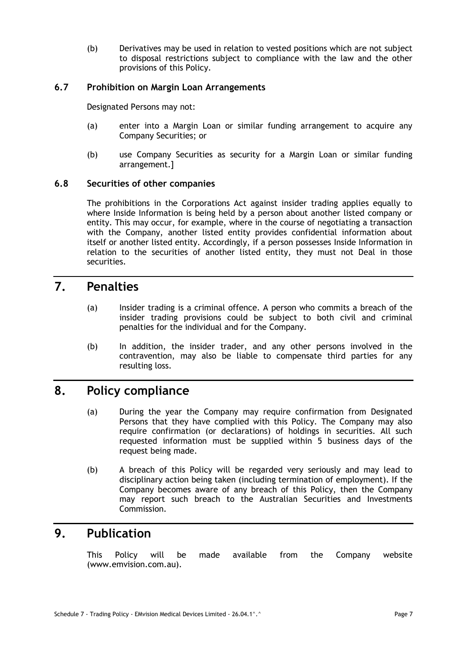(b) Derivatives may be used in relation to vested positions which are not subject to disposal restrictions subject to compliance with the law and the other provisions of this Policy.

#### **6.7 Prohibition on Margin Loan Arrangements**

Designated Persons may not:

- (a) enter into a Margin Loan or similar funding arrangement to acquire any Company Securities; or
- (b) use Company Securities as security for a Margin Loan or similar funding arrangement.]

#### **6.8 Securities of other companies**

The prohibitions in the Corporations Act against insider trading applies equally to where Inside Information is being held by a person about another listed company or entity. This may occur, for example, where in the course of negotiating a transaction with the Company, another listed entity provides confidential information about itself or another listed entity. Accordingly, if a person possesses Inside Information in relation to the securities of another listed entity, they must not Deal in those securities.

### **7. Penalties**

- (a) Insider trading is a criminal offence. A person who commits a breach of the insider trading provisions could be subject to both civil and criminal penalties for the individual and for the Company.
- (b) In addition, the insider trader, and any other persons involved in the contravention, may also be liable to compensate third parties for any resulting loss.

### **8. Policy compliance**

- (a) During the year the Company may require confirmation from Designated Persons that they have complied with this Policy. The Company may also require confirmation (or declarations) of holdings in securities. All such requested information must be supplied within 5 business days of the request being made.
- (b) A breach of this Policy will be regarded very seriously and may lead to disciplinary action being taken (including termination of employment). If the Company becomes aware of any breach of this Policy, then the Company may report such breach to the Australian Securities and Investments Commission.

## **9. Publication**

This Policy will be made available from the Company website (www.emvision.com.au).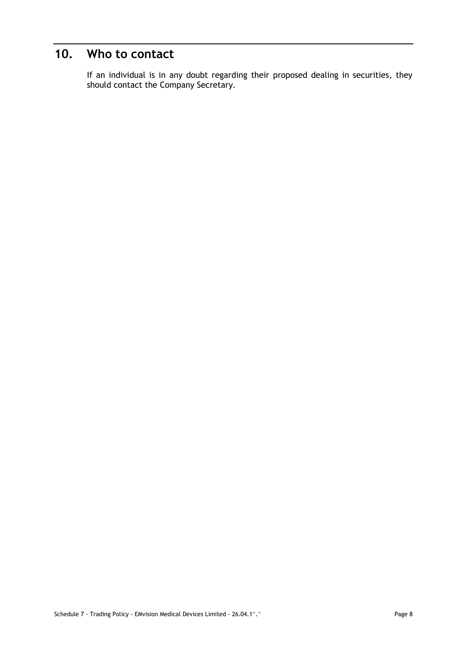# **10. Who to contact**

If an individual is in any doubt regarding their proposed dealing in securities, they should contact the Company Secretary.